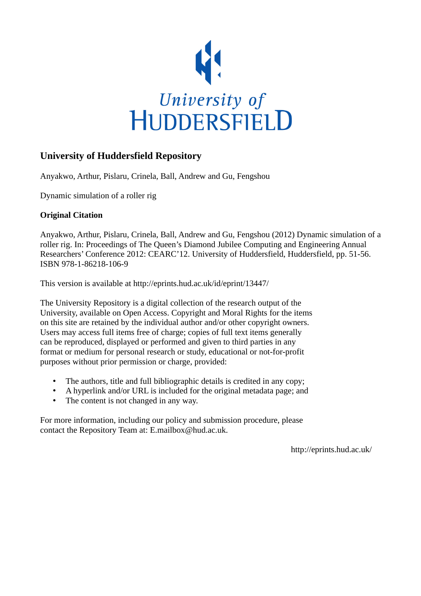

## **University of Huddersfield Repository**

Anyakwo, Arthur, Pislaru, Crinela, Ball, Andrew and Gu, Fengshou

Dynamic simulation of a roller rig

## **Original Citation**

Anyakwo, Arthur, Pislaru, Crinela, Ball, Andrew and Gu, Fengshou (2012) Dynamic simulation of a roller rig. In: Proceedings of The Queen's Diamond Jubilee Computing and Engineering Annual Researchers' Conference 2012: CEARC'12. University of Huddersfield, Huddersfield, pp. 51-56. ISBN 978-1-86218-106-9

This version is available at http://eprints.hud.ac.uk/id/eprint/13447/

The University Repository is a digital collection of the research output of the University, available on Open Access. Copyright and Moral Rights for the items on this site are retained by the individual author and/or other copyright owners. Users may access full items free of charge; copies of full text items generally can be reproduced, displayed or performed and given to third parties in any format or medium for personal research or study, educational or not-for-profit purposes without prior permission or charge, provided:

- The authors, title and full bibliographic details is credited in any copy;
- A hyperlink and/or URL is included for the original metadata page; and
- The content is not changed in any way.

For more information, including our policy and submission procedure, please contact the Repository Team at: E.mailbox@hud.ac.uk.

http://eprints.hud.ac.uk/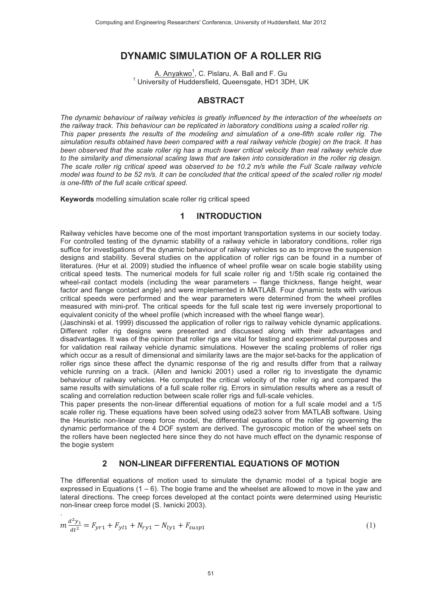# **DYNAMIC SIMULATION OF A ROLLER RIG**

<u>A. Anyakwo<sup>1</sup>,</u> C. Pislaru, A. Ball and F. Gu  $1$  University of Huddersfield, Queensgate, HD1 3DH, UK

### **ABSTRACT**

*The dynamic behaviour of railway vehicles is greatly influenced by the interaction of the wheelsets on the railway track. This behaviour can be replicated in laboratory conditions using a scaled roller rig. This paper presents the results of the modeling and simulation of a one-fifth scale roller rig. The simulation results obtained have been compared with a real railway vehicle (bogie) on the track. It has been observed that the scale roller rig has a much lower critical velocity than real railway vehicle due*  to the similarity and dimensional scaling laws that are taken into consideration in the roller rig design. *The scale roller rig critical speed was observed to be 10.2 m/s while the Full Scale railway vehicle model was found to be 52 m/s. It can be concluded that the critical speed of the scaled roller rig model is one-fifth of the full scale critical speed.* 

**Keywords** modelling simulation scale roller rig critical speed

### **1 INTRODUCTION**

Railway vehicles have become one of the most important transportation systems in our society today. For controlled testing of the dynamic stability of a railway vehicle in laboratory conditions, roller rigs suffice for investigations of the dynamic behaviour of railway vehicles so as to improve the suspension designs and stability. Several studies on the application of roller rigs can be found in a number of literatures. (Hur et al. 2009) studied the influence of wheel profile wear on scale bogie stability using critical speed tests. The numerical models for full scale roller rig and 1/5th scale rig contained the wheel-rail contact models (including the wear parameters – flange thickness, flange height, wear factor and flange contact angle) and were implemented in MATLAB. Four dynamic tests with various critical speeds were performed and the wear parameters were determined from the wheel profiles measured with mini-prof. The critical speeds for the full scale test rig were inversely proportional to equivalent conicity of the wheel profile (which increased with the wheel flange wear).

(Jaschinski et al. 1999) discussed the application of roller rigs to railway vehicle dynamic applications. Different roller rig designs were presented and discussed along with their advantages and disadvantages. It was of the opinion that roller rigs are vital for testing and experimental purposes and for validation real railway vehicle dynamic simulations. However the scaling problems of roller rigs which occur as a result of dimensional and similarity laws are the major set-backs for the application of roller rigs since these affect the dynamic response of the rig and results differ from that a railway vehicle running on a track. (Allen and Iwnicki 2001) used a roller rig to investigate the dynamic behaviour of railway vehicles. He computed the critical velocity of the roller rig and compared the same results with simulations of a full scale roller rig. Errors in simulation results where as a result of scaling and correlation reduction between scale roller rigs and full-scale vehicles.

This paper presents the non-linear differential equations of motion for a full scale model and a 1/5 scale roller rig. These equations have been solved using ode23 solver from MATLAB software. Using the Heuristic non-linear creep force model, the differential equations of the roller rig governing the dynamic performance of the 4 DOF system are derived. The gyroscopic motion of the wheel sets on the rollers have been neglected here since they do not have much effect on the dynamic response of the bogie system

### **2 NON-LINEAR DIFFERENTIAL EQUATIONS OF MOTION**

The differential equations of motion used to simulate the dynamic model of a typical bogie are expressed in Equations  $(1 - 6)$ . The bogie frame and the wheelset are allowed to move in the yaw and lateral directions. The creep forces developed at the contact points were determined using Heuristic non-linear creep force model (S. Iwnicki 2003).

$$
m\frac{d^2y_1}{dt^2} = F_{\gamma r1} + F_{\gamma l1} + N_{r\gamma 1} - N_{l\gamma 1} + F_{susp1}
$$
\n(1)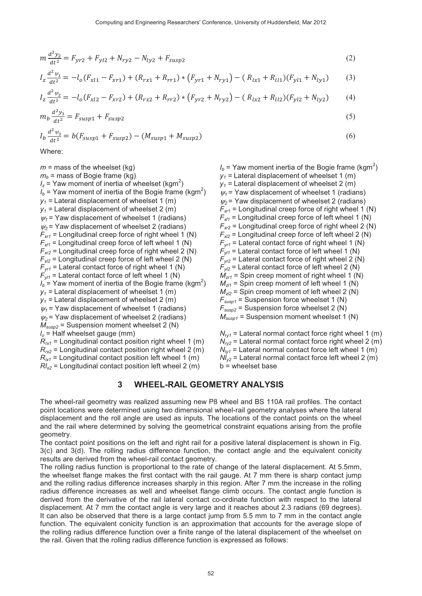$$
m\frac{d^2y_2}{dt^2} = F_{\gamma r2} + F_{\gamma l2} + N_{r\gamma 2} - N_{l\gamma 2} + F_{\gamma u s p 2}
$$
\n(2)

$$
I_z \frac{d^2 \psi_1}{dt^2} = -l_o(F_{xl1} - F_{xr1}) + (R_{rx1} + R_{rr1}) * (F_{yr1} + N_{ry1}) - (R_{lx1} + R_{ll1})(F_{yl1} + N_{ly1})
$$
(3)

$$
I_z \frac{d^2 \psi_2}{dt^2} = -l_o(F_{x12} - F_{xr2}) + (R_{rx2} + R_{rr2}) * (F_{yr2} + N_{ry2}) - (R_{lx2} + R_{ll2})(F_{yl2} + N_{ly2})
$$
(4)

$$
m_b \frac{d^2 y_3}{dt^2} = F_{susp1} + F_{susp2} \tag{5}
$$

$$
I_b \frac{d^2 \psi_3}{dt^2} = b(F_{susp1} + F_{susp2}) - (M_{susp1} + M_{susp2})
$$
 (6)

Where:

 $m =$  mass of the wheelset (kg)  $m_b$  = mass of Bogie frame (kg)  $I_z$  = Yaw moment of inertia of wheelset (kgm<sup>2</sup>)  $I<sub>b</sub>$  = Yaw moment of inertia of the Bogie frame (kgm<sup>2</sup>)  $y_1$  = Lateral displacement of wheelset 1 (m)  $y_1$  = Lateral displacement of wheelset 2 (m)  $\psi_1$  = Yaw displacement of wheelset 1 (radians)  $\psi_2$  = Yaw displacement of wheelset 2 (radians)  $F<sub>xt1</sub>$  = Longitudinal creep force of right wheel 1 (N)  $F_{x/1}$  = Longitudinal creep force of left wheel 1 (N)  $F_{xx2}$  = Longitudinal creep force of right wheel 2 (N)  $F_{x/2}$  = Longitudinal creep force of left wheel 2 (N)  $F_{vrt}$  = Lateral contact force of right wheel 1 (N)  $F_{v11}$  = Lateral contact force of left wheel 1 (N)  $I_b$  = Yaw moment of inertia of the Bogie frame (kgm<sup>2</sup>)  $v_1$  = Lateral displacement of wheelset 1 (m)  $y_1$  = Lateral displacement of wheelset 2 (m)  $\psi_1$  = Yaw displacement of wheelset 1 (radians)  $\psi_2$  = Yaw displacement of wheelset 2 (radians)  $M_{sus2}$  = Suspension moment wheelset 2 (N)  $I_0$  = Half wheelset gauge (mm)  $R_{rx1}$  = Longitudinal contact position right wheel 1 (m)  $R_{rx2}$  = Longitudinal contact position right wheel 2 (m)  $R_{1x1}$  = Longitudinal contact position left wheel 1 (m)  $RI_{x2}$  = Longitudinal contact position left wheel 2 (m)

 $I<sub>b</sub>$  = Yaw moment inertia of the Bogie frame (kgm<sup>2</sup>)  $y_1$  = Lateral displacement of wheelset 1 (m)  $y_1$  = Lateral displacement of wheelset 2 (m)  $w_1$  = Yaw displacement of wheelset 1 (radians)  $\psi_2$  = Yaw displacement of wheelset 2 (radians)  $F<sub>xt1</sub>$  = Longitudinal creep force of right wheel 1 (N)  $F_{x/1}$  = Longitudinal creep force of left wheel 1 (N)  $F_{xx2}$  = Longitudinal creep force of right wheel 2 (N)  $F_{x/2}$  = Longitudinal creep force of left wheel 2 (N)  $F_{vr1}$  = Lateral contact force of right wheel 1 (N)  $F_{v17}$  = Lateral contact force of left wheel 1 (N)  $F_{vr2}$  = Lateral contact force of right wheel 2 (N)  $F_{v/2}$  = Lateral contact force of left wheel 2 (N)  $M_{zrt}$  = Spin creep moment of right wheel 1 (N)  $M_{z/1}$  = Spin creep moment of left wheel 1 (N)  $M_{z/2}$  = Spin creep moment of left wheel 2 (N)  $F_{susp1}$  = Suspension force wheelset 1 (N)  $F_{susp2}$  = Suspension force wheelset 2 (N)  $M_{susp1}$  = Suspension moment wheelset 1 (N)  $N_{\text{ref}}$  = Lateral normal contact force right wheel 1 (m)  $N_{1/2}$  = Lateral normal contact force right wheel 2 (m)  $N_{1y1}$  = Lateral normal contact force left wheel 1 (m)

## $Nl_{v2}$  = Lateral normal contact force left wheel 2 (m)  $b =$  wheelset base

#### $\overline{3}$ **WHEEL-RAIL GEOMETRY ANALYSIS**

The wheel-rail geometry was realized assuming new P8 wheel and BS 110A rail profiles. The contact point locations were determined using two dimensional wheel-rail geometry analyses where the lateral displacement and the roll angle are used as inputs. The locations of the contact points on the wheel and the rail where determined by solving the geometrical constraint equations arising from the profile geometry.

The contact point positions on the left and right rail for a positive lateral displacement is shown in Fig. 3(c) and 3(d). The rolling radius difference function, the contact angle and the equivalent conicity results are derived from the wheel-rail contact geometry.

The rolling radius function is proportional to the rate of change of the lateral displacement. At 5.5mm, the wheelset flange makes the first contact with the rail gauge. At 7 mm there is sharp contact jump and the rolling radius difference increases sharply in this region. After 7 mm the increase in the rolling radius difference increases as well and wheelset flange climb occurs. The contact angle function is derived from the derivative of the rail lateral contact co-ordinate function with respect to the lateral displacement. At 7 mm the contact angle is very large and it reaches about 2.3 radians (69 degrees). It can also be observed that there is a large contact jump from 5.5 mm to 7 mm in the contact angle function. The equivalent conicity function is an approximation that accounts for the average slope of the rolling radius difference function over a finite range of the lateral displacement of the wheelset on the rail. Given that the rolling radius difference function is expressed as follows: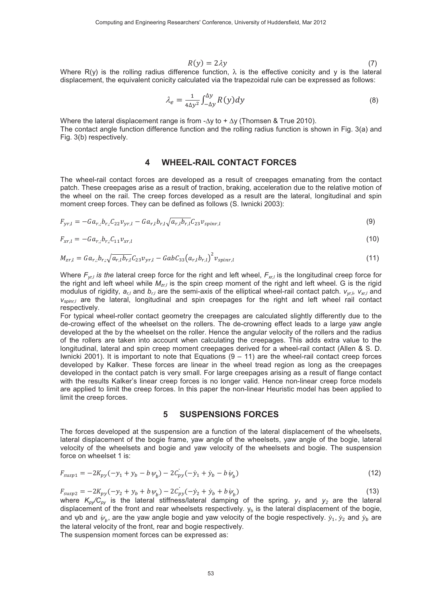$$
R(y) = 2\lambda y \tag{7}
$$

Where R(y) is the rolling radius difference function,  $\lambda$  is the effective conicity and y is the lateral displacement, the equivalent conicity calculated via the trapezoidal rule can be expressed as follows:

$$
\lambda_e = \frac{1}{4\Delta y^2} \int_{-\Delta y}^{\Delta y} R(y) dy
$$
\n(8)

Where the lateral displacement range is from - $\Delta y$  to +  $\Delta y$  (Thomsen & True 2010). The contact angle function difference function and the rolling radius function is shown in Fig. 3(a) and Fig. 3(b) respectively.

#### **WHEEL-RAIL CONTACT FORCES** 4

The wheel-rail contact forces are developed as a result of creepages emanating from the contact patch. These creepages arise as a result of traction, braking, acceleration due to the relative motion of the wheel on the rail. The creep forces developed as a result are the lateral, longitudinal and spin moment creep forces. They can be defined as follows (S. Iwnicki 2003):

$$
F_{yr,l} = -Ga_{r,l}b_{r,l}C_{22}v_{yr,l} - Ga_{r,l}b_{r,l}\sqrt{a_{r,l}b_{r,l}C_{23}v_{spinr,l}}
$$
\n(9)

$$
F_{xr,l} = -Ga_{r,l}b_{r,l}C_{11}v_{xr,l} \tag{10}
$$

$$
M_{zr,l} = G a_{r,l} b_{r,l} \sqrt{a_{r,l} b_{r,l}} C_{23} v_{yr,l} - G a b C_{33} (a_{r,l} b_{r,l})^2 v_{spinr,l}
$$
\n(11)

Where  $F_{w,l}$  is the lateral creep force for the right and left wheel,  $F_{w,l}$  is the longitudinal creep force for the right and left wheel while  $M_{\tau}$  is the spin creep moment of the right and left wheel. G is the rigid modulus of rigidity,  $a_{r,l}$  and  $b_{r,l}$  are the semi-axis of the elliptical wheel-rail contact patch.  $v_{wrb}$ ,  $v_{xrl}$  and  $V_{spinr,I}$  are the lateral, longitudinal and spin creepages for the right and left wheel rail contact respectively.

For typical wheel-roller contact geometry the creepages are calculated slightly differently due to the de-crowing effect of the wheelset on the rollers. The de-crowning effect leads to a large yaw angle developed at the by the wheelset on the roller. Hence the angular velocity of the rollers and the radius of the rollers are taken into account when calculating the creepages. This adds extra value to the longitudinal, lateral and spin creep moment creepages derived for a wheel-rail contact (Allen & S. D. Iwnicki 2001). It is important to note that Equations  $(9 - 11)$  are the wheel-rail contact creep forces developed by Kalker. These forces are linear in the wheel tread region as long as the creepages developed in the contact patch is very small. For large creepages arising as a result of flange contact with the results Kalker's linear creep forces is no longer valid. Hence non-linear creep force models are applied to limit the creep forces. In this paper the non-linear Heuristic model has been applied to limit the creep forces.

#### 5 **SUSPENSIONS FORCES**

The forces developed at the suspension are a function of the lateral displacement of the wheelsets, lateral displacement of the bogie frame, yaw angle of the wheelsets, yaw angle of the bogie, lateral velocity of the wheelsets and bogie and yaw velocity of the wheelsets and bogie. The suspension force on wheelset 1 is:

$$
F_{susp1} = -2K_{py}(-y_1 + y_b - b\psi_b) - 2C_{py}(-\dot{y}_1 + \dot{y}_b - b\dot{\psi}_b)
$$
\n(12)

$$
F_{\text{sup2}} = -2K_{py}(-y_2 + y_b + b\psi_b) - 2C_{py}(-\dot{y}_2 + \dot{y}_b + b\dot{\psi}_b)
$$
\n(13)

where  $K_{py}/C_{py}$  is the lateral stiffness/lateral damping of the spring.  $y_1$  and  $y_2$  are the lateral displacement of the front and rear wheelsets respectively.  $y<sub>b</sub>$  is the lateral displacement of the bogie, and wb and  $\psi_{h}$ , are the yaw angle bogie and yaw velocity of the bogie respectively.  $\dot{y}_1, \dot{y}_2$  and  $\dot{y}_b$  are the lateral velocity of the front, rear and bogie respectively.

The suspension moment forces can be expressed as: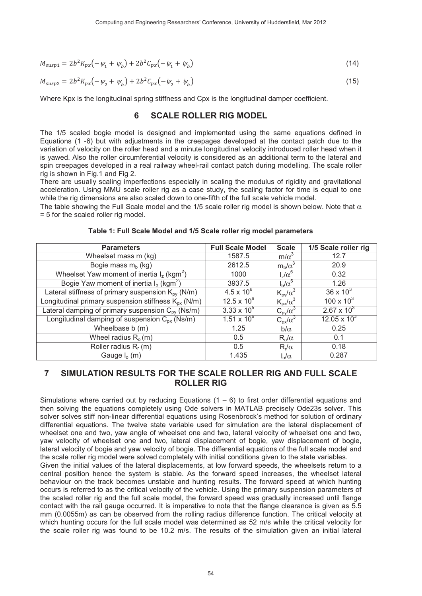$$
M_{susp1} = 2b^2 K_{px} \left( -\psi_1 + \psi_b \right) + 2b^2 C_{px} \left( -\psi_1 + \psi_b \right) \tag{14}
$$

$$
M_{susp2} = 2b^2 K_{px} \left( -\psi_2 + \psi_b \right) + 2b^2 C_{px} \left( -\psi_2 + \psi_b \right) \tag{15}
$$

Where Kpx is the longitudinal spring stiffness and Cpx is the longitudinal damper coefficient.

### **6 SCALE ROLLER RIG MODEL**

The 1/5 scaled bogie model is designed and implemented using the same equations defined in Equations (1 -6) but with adjustments in the creepages developed at the contact patch due to the variation of velocity on the roller head and a minute longitudinal velocity introduced roller head when it is yawed. Also the roller circumferential velocity is considered as an additional term to the lateral and spin creepages developed in a real railway wheel-rail contact patch during modelling. The scale roller rig is shown in Fig.1 and Fig 2.

There are usually scaling imperfections especially in scaling the modulus of rigidity and gravitational acceleration. Using MMU scale roller rig as a case study, the scaling factor for time is equal to one while the rig dimensions are also scaled down to one-fifth of the full scale vehicle model.

The table showing the Full Scale model and the 1/5 scale roller rig model is shown below. Note that  $\alpha$ = 5 for the scaled roller rig model.

| <b>Parameters</b>                                             | <b>Full Scale Model</b> | <b>Scale</b>             | 1/5 Scale roller rig  |
|---------------------------------------------------------------|-------------------------|--------------------------|-----------------------|
| Wheelset mass m (kg)                                          | 1587.5                  | $m/\alpha^3$             | 12.7                  |
| Bogie mass $m_b$ (kg)                                         | 2612.5                  | $m_b/\alpha^3$           | 20.9                  |
| Wheelset Yaw moment of inertia $I_z$ (kgm <sup>2</sup> )      | 1000                    | $I_z/\alpha^5$           | 0.32                  |
| Bogie Yaw moment of inertia $I_b$ (kgm <sup>2</sup> )         | 3937.5                  | $I_h/\alpha^5$           | 1.26                  |
| Lateral stiffness of primary suspension $K_{\text{ov}}$ (N/m) | $4.5 \times 10^{6}$     | $K_{\text{pv}}/\alpha^3$ | $36 \times 10^{3}$    |
| Longitudinal primary suspension stiffness $K_{px}$ (N/m)      | $12.5 \times 10^{6}$    | $K_{px}/\alpha^3$        | $100 \times 10^{3}$   |
| Lateral damping of primary suspension $C_{\text{ov}}$ (Ns/m)  | $3.33 \times 10^{5}$    | $C_{\text{pv}}/\alpha^3$ | $2.67 \times 10^{3}$  |
| Longitudinal damping of suspension $C_{px}$ (Ns/m)            | $1.51 \times 10^{6}$    | $C_{px}/\alpha^3$        | $12.05 \times 10^{3}$ |
| Wheelbase b (m)                                               | 1.25                    | $b/\alpha$               | 0.25                  |
| Wheel radius $R_0(m)$                                         | 0.5                     | $R_o/\alpha$             | 0.1                   |
| Roller radius $R_r(m)$                                        | 0.5                     | $R_r/\alpha$             | 0.18                  |
| Gauge $I_0(m)$                                                | 1.435                   | $\int_0/\alpha$          | 0.287                 |

**Table 1: Full Scale Model and 1/5 Scale roller rig model parameters** 

### **7 SIMULATION RESULTS FOR THE SCALE ROLLER RIG AND FULL SCALE ROLLER RIG**

Simulations where carried out by reducing Equations  $(1 - 6)$  to first order differential equations and then solving the equations completely using Ode solvers in MATLAB precisely Ode23s solver. This solver solves stiff non-linear differential equations using Rosenbrock's method for solution of ordinary differential equations. The twelve state variable used for simulation are the lateral displacement of wheelset one and two, yaw angle of wheelset one and two, lateral velocity of wheelset one and two, yaw velocity of wheelset one and two, lateral displacement of bogie, yaw displacement of bogie, lateral velocity of bogie and yaw velocity of bogie. The differential equations of the full scale model and the scale roller rig model were solved completely with initial conditions given to the state variables.

Given the initial values of the lateral displacements, at low forward speeds, the wheelsets return to a central position hence the system is stable. As the forward speed increases, the wheelset lateral behaviour on the track becomes unstable and hunting results. The forward speed at which hunting occurs is referred to as the critical velocity of the vehicle. Using the primary suspension parameters of the scaled roller rig and the full scale model, the forward speed was gradually increased until flange contact with the rail gauge occurred. It is imperative to note that the flange clearance is given as 5.5 mm (0.0055m) as can be observed from the rolling radius difference function. The critical velocity at which hunting occurs for the full scale model was determined as 52 m/s while the critical velocity for the scale roller rig was found to be 10.2 m/s. The results of the simulation given an initial lateral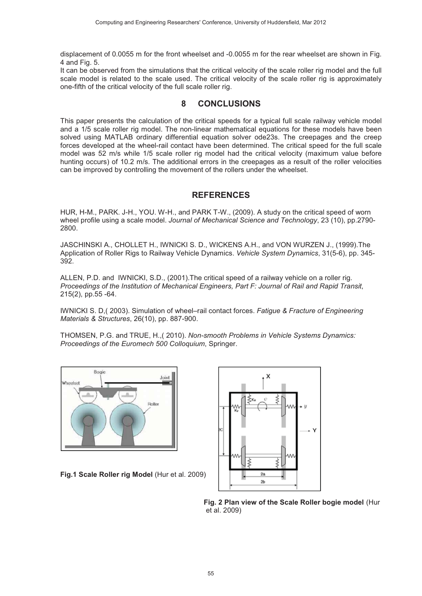displacement of 0.0055 m for the front wheelset and -0.0055 m for the rear wheelset are shown in Fig.  $4$  and Fig.  $5.$ 

It can be observed from the simulations that the critical velocity of the scale roller rig model and the full scale model is related to the scale used. The critical velocity of the scale roller rig is approximately one-fifth of the critical velocity of the full scale roller rig.

### **8 CONCLUSIONS**

This paper presents the calculation of the critical speeds for a typical full scale railway vehicle model and a 1/5 scale roller rig model. The non-linear mathematical equations for these models have been solved using MATLAB ordinary differential equation solver ode23s. The creepages and the creep forces developed at the wheel-rail contact have been determined. The critical speed for the full scale model was 52 m/s while 1/5 scale roller rig model had the critical velocity (maximum value before hunting occurs) of 10.2 m/s. The additional errors in the creepages as a result of the roller velocities can be improved by controlling the movement of the rollers under the wheelset.

### **REFERENCES**

HUR, H-M., PARK. J-H., YOU. W-H., and PARK T-W., (2009). A study on the critical speed of worn wheel profile using a scale model. Jo*urnal of Mechanical Science and Technology*, 23 (10), pp.2790-2800.

JASCHINSKI A., CHOLLET H., IWNICKI S. D., WICKENS A.H., and VON WURZEN J., (1999).The Application of Roller Rigs to Railway Vehicle Dynamics. *Vehicle System Dynamics*, 31(5-6), pp. 345-392.

ALLEN, P.D. and IWNICKI, S.D., (2001). The critical speed of a railway vehicle on a roller rig. Proceedings of the Institution of Mechanical Engineers, Part F: Journal of Rail and Rapid Transit, 215(2), pp.55 -64.

IWNICKI S. D, (2003). Simulation of wheel-rail contact forces. Fatigue & Fracture of Engineering *Materials & Structures*, 26(10), pp. 887-900.

THOMSEN, P.G. and TRUE, H., (2010). Non-smooth Problems in Vehicle Systems Dynamics: Proceedings of the Euromech 500 Colloquium, Springer.



Fig.1 Scale Roller rig Model (Hur et al. 2009)



**Fig. 2 Plan view of the Scale Roller bogie model** (Hur et al. 2009)